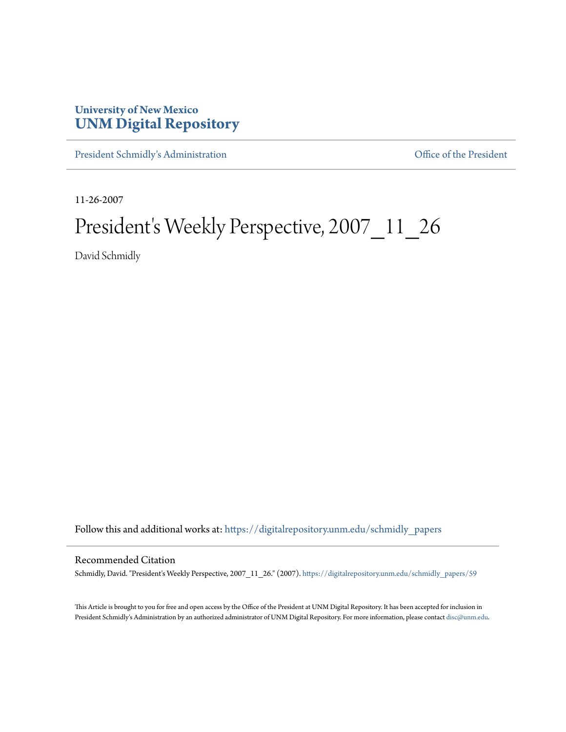## **University of New Mexico [UNM Digital Repository](https://digitalrepository.unm.edu?utm_source=digitalrepository.unm.edu%2Fschmidly_papers%2F59&utm_medium=PDF&utm_campaign=PDFCoverPages)**

[President Schmidly's Administration](https://digitalrepository.unm.edu/schmidly_papers?utm_source=digitalrepository.unm.edu%2Fschmidly_papers%2F59&utm_medium=PDF&utm_campaign=PDFCoverPages) [Office of the President](https://digitalrepository.unm.edu/ofc_president?utm_source=digitalrepository.unm.edu%2Fschmidly_papers%2F59&utm_medium=PDF&utm_campaign=PDFCoverPages)

11-26-2007

## President's Weekly Perspective, 2007\_11\_26

David Schmidly

Follow this and additional works at: [https://digitalrepository.unm.edu/schmidly\\_papers](https://digitalrepository.unm.edu/schmidly_papers?utm_source=digitalrepository.unm.edu%2Fschmidly_papers%2F59&utm_medium=PDF&utm_campaign=PDFCoverPages)

## Recommended Citation

Schmidly, David. "President's Weekly Perspective, 2007\_11\_26." (2007). [https://digitalrepository.unm.edu/schmidly\\_papers/59](https://digitalrepository.unm.edu/schmidly_papers/59?utm_source=digitalrepository.unm.edu%2Fschmidly_papers%2F59&utm_medium=PDF&utm_campaign=PDFCoverPages)

This Article is brought to you for free and open access by the Office of the President at UNM Digital Repository. It has been accepted for inclusion in President Schmidly's Administration by an authorized administrator of UNM Digital Repository. For more information, please contact [disc@unm.edu](mailto:disc@unm.edu).